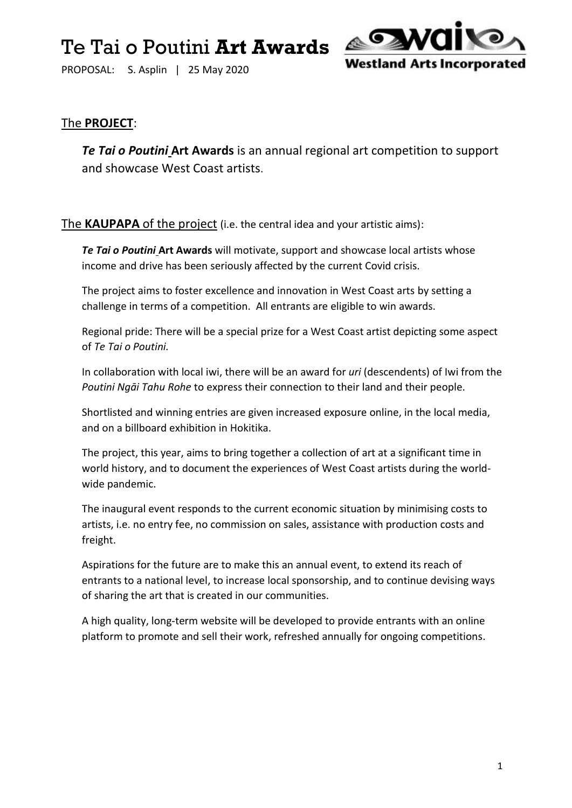PROPOSAL: S. Asplin | 25 May 2020



### The **PROJECT**:

*Te Tai o Poutini* **Art Awards** is an annual regional art competition to support and showcase West Coast artists.

The **KAUPAPA** of the project (i.e. the central idea and your artistic aims):

*Te Tai o Poutini* **Art Awards** will motivate, support and showcase local artists whose income and drive has been seriously affected by the current Covid crisis.

The project aims to foster excellence and innovation in West Coast arts by setting a challenge in terms of a competition. All entrants are eligible to win awards.

Regional pride: There will be a special prize for a West Coast artist depicting some aspect of *Te Tai o Poutini.*

In collaboration with local iwi, there will be an award for *uri* (descendents) of Iwi from the *Poutini Ngāi Tahu Rohe* to express their connection to their land and their people.

Shortlisted and winning entries are given increased exposure online, in the local media, and on a billboard exhibition in Hokitika.

The project, this year, aims to bring together a collection of art at a significant time in world history, and to document the experiences of West Coast artists during the worldwide pandemic.

The inaugural event responds to the current economic situation by minimising costs to artists, i.e. no entry fee, no commission on sales, assistance with production costs and freight.

Aspirations for the future are to make this an annual event, to extend its reach of entrants to a national level, to increase local sponsorship, and to continue devising ways of sharing the art that is created in our communities.

A high quality, long-term website will be developed to provide entrants with an online platform to promote and sell their work, refreshed annually for ongoing competitions.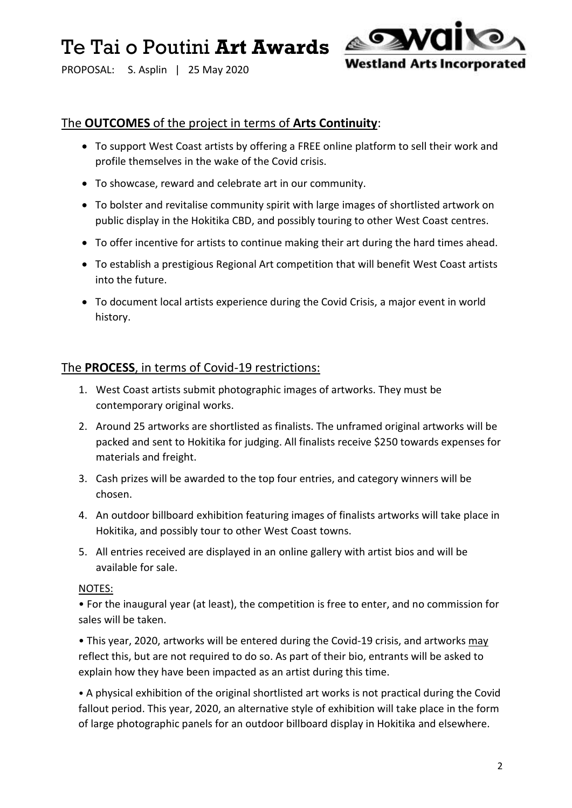

PROPOSAL: S. Asplin | 25 May 2020

### The **OUTCOMES** of the project in terms of **Arts Continuity**:

- To support West Coast artists by offering a FREE online platform to sell their work and profile themselves in the wake of the Covid crisis.
- To showcase, reward and celebrate art in our community.
- To bolster and revitalise community spirit with large images of shortlisted artwork on public display in the Hokitika CBD, and possibly touring to other West Coast centres.
- To offer incentive for artists to continue making their art during the hard times ahead.
- To establish a prestigious Regional Art competition that will benefit West Coast artists into the future.
- To document local artists experience during the Covid Crisis, a major event in world history.

### The **PROCESS**, in terms of Covid-19 restrictions:

- 1. West Coast artists submit photographic images of artworks. They must be contemporary original works.
- 2. Around 25 artworks are shortlisted as finalists. The unframed original artworks will be packed and sent to Hokitika for judging. All finalists receive \$250 towards expenses for materials and freight.
- 3. Cash prizes will be awarded to the top four entries, and category winners will be chosen.
- 4. An outdoor billboard exhibition featuring images of finalists artworks will take place in Hokitika, and possibly tour to other West Coast towns.
- 5. All entries received are displayed in an online gallery with artist bios and will be available for sale.

#### NOTES:

• For the inaugural year (at least), the competition is free to enter, and no commission for sales will be taken.

• This year, 2020, artworks will be entered during the Covid-19 crisis, and artworks may reflect this, but are not required to do so. As part of their bio, entrants will be asked to explain how they have been impacted as an artist during this time.

• A physical exhibition of the original shortlisted art works is not practical during the Covid fallout period. This year, 2020, an alternative style of exhibition will take place in the form of large photographic panels for an outdoor billboard display in Hokitika and elsewhere.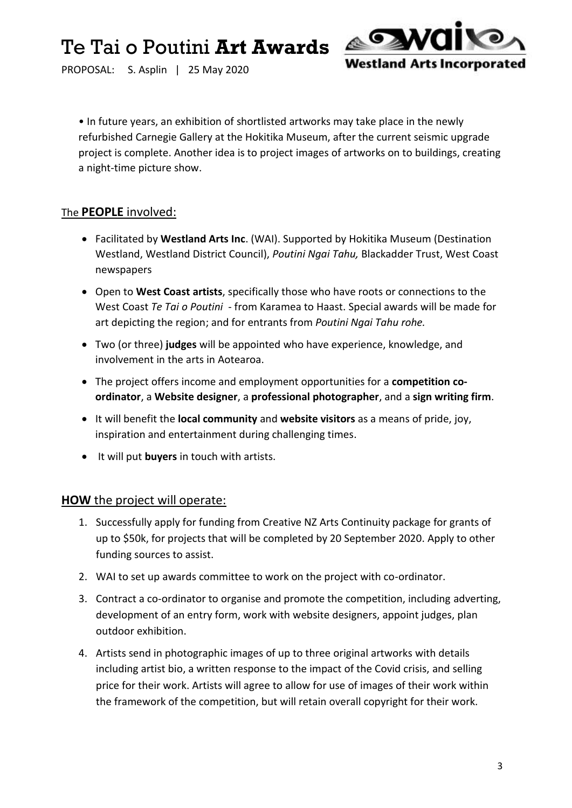

PROPOSAL: S. Asplin | 25 May 2020

• In future years, an exhibition of shortlisted artworks may take place in the newly refurbished Carnegie Gallery at the Hokitika Museum, after the current seismic upgrade project is complete. Another idea is to project images of artworks on to buildings, creating a night-time picture show.

### The **PEOPLE** involved:

- Facilitated by **Westland Arts Inc**. (WAI). Supported by Hokitika Museum (Destination Westland, Westland District Council), *Poutini Ngai Tahu,* Blackadder Trust, West Coast newspapers
- Open to **West Coast artists**, specifically those who have roots or connections to the West Coast *Te Tai o Poutini* - from Karamea to Haast. Special awards will be made for art depicting the region; and for entrants from *Poutini Ngai Tahu rohe.*
- Two (or three) **judges** will be appointed who have experience, knowledge, and involvement in the arts in Aotearoa.
- The project offers income and employment opportunities for a **competition coordinator**, a **Website designer**, a **professional photographer**, and a **sign writing firm**.
- It will benefit the **local community** and **website visitors** as a means of pride, joy, inspiration and entertainment during challenging times.
- It will put **buyers** in touch with artists.

### **HOW** the project will operate:

- 1. Successfully apply for funding from Creative NZ Arts Continuity package for grants of up to \$50k, for projects that will be completed by 20 September 2020. Apply to other funding sources to assist.
- 2. WAI to set up awards committee to work on the project with co-ordinator.
- 3. Contract a co-ordinator to organise and promote the competition, including adverting, development of an entry form, work with website designers, appoint judges, plan outdoor exhibition.
- 4. Artists send in photographic images of up to three original artworks with details including artist bio, a written response to the impact of the Covid crisis, and selling price for their work. Artists will agree to allow for use of images of their work within the framework of the competition, but will retain overall copyright for their work.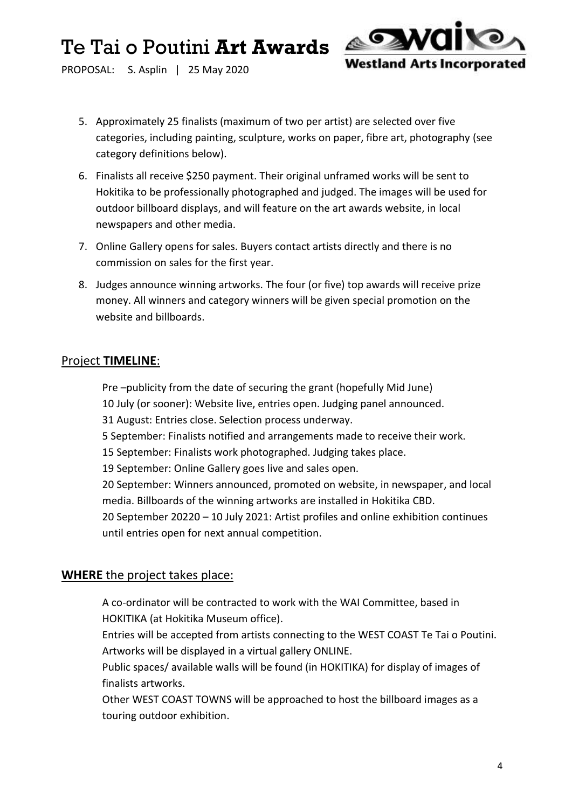

PROPOSAL: S. Asplin | 25 May 2020

- 5. Approximately 25 finalists (maximum of two per artist) are selected over five categories, including painting, sculpture, works on paper, fibre art, photography (see category definitions below).
- 6. Finalists all receive \$250 payment. Their original unframed works will be sent to Hokitika to be professionally photographed and judged. The images will be used for outdoor billboard displays, and will feature on the art awards website, in local newspapers and other media.
- 7. Online Gallery opens for sales. Buyers contact artists directly and there is no commission on sales for the first year.
- 8. Judges announce winning artworks. The four (or five) top awards will receive prize money. All winners and category winners will be given special promotion on the website and billboards.

### Project **TIMELINE**:

Pre –publicity from the date of securing the grant (hopefully Mid June) 10 July (or sooner): Website live, entries open. Judging panel announced. 31 August: Entries close. Selection process underway. 5 September: Finalists notified and arrangements made to receive their work. 15 September: Finalists work photographed. Judging takes place. 19 September: Online Gallery goes live and sales open. 20 September: Winners announced, promoted on website, in newspaper, and local media. Billboards of the winning artworks are installed in Hokitika CBD. 20 September 20220 – 10 July 2021: Artist profiles and online exhibition continues until entries open for next annual competition.

### **WHERE** the project takes place:

A co-ordinator will be contracted to work with the WAI Committee, based in HOKITIKA (at Hokitika Museum office).

Entries will be accepted from artists connecting to the WEST COAST Te Tai o Poutini. Artworks will be displayed in a virtual gallery ONLINE.

Public spaces/ available walls will be found (in HOKITIKA) for display of images of finalists artworks.

Other WEST COAST TOWNS will be approached to host the billboard images as a touring outdoor exhibition.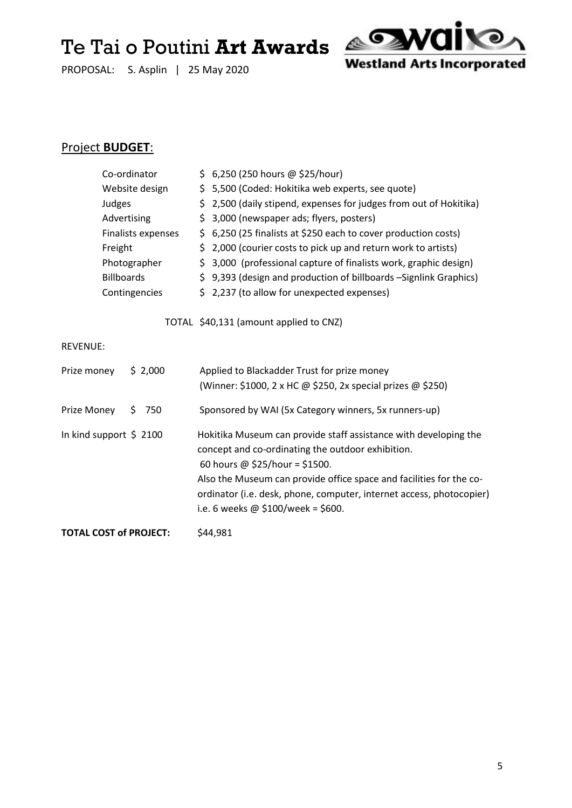PROPOSAL: S. Asplin | 25 May 2020



### Project **BUDGET**:

|                                                           | Co-ordinator                      |  |         |     | $$6,250$ (250 hours @ \$25/hour)                                                                                                                                                                                                                                                                                                             |
|-----------------------------------------------------------|-----------------------------------|--|---------|-----|----------------------------------------------------------------------------------------------------------------------------------------------------------------------------------------------------------------------------------------------------------------------------------------------------------------------------------------------|
|                                                           | Website design                    |  |         |     | \$5,500 (Coded: Hokitika web experts, see quote)                                                                                                                                                                                                                                                                                             |
|                                                           | Judges                            |  |         |     | \$2,500 (daily stipend, expenses for judges from out of Hokitika)                                                                                                                                                                                                                                                                            |
|                                                           | Advertising                       |  |         | \$. | 3,000 (newspaper ads; flyers, posters)                                                                                                                                                                                                                                                                                                       |
|                                                           | Finalists expenses                |  |         |     | \$ 6,250 (25 finalists at \$250 each to cover production costs)                                                                                                                                                                                                                                                                              |
|                                                           | Freight                           |  |         |     | \$ 2,000 (courier costs to pick up and return work to artists)                                                                                                                                                                                                                                                                               |
|                                                           | Photographer<br><b>Billboards</b> |  |         |     | \$ 3,000 (professional capture of finalists work, graphic design)                                                                                                                                                                                                                                                                            |
|                                                           |                                   |  |         |     | \$9,393 (design and production of billboards -Signlink Graphics)                                                                                                                                                                                                                                                                             |
| Contingencies                                             |                                   |  |         |     | \$2,237 (to allow for unexpected expenses)                                                                                                                                                                                                                                                                                                   |
| TOTAL \$40,131 (amount applied to CNZ)<br><b>REVENUE:</b> |                                   |  |         |     |                                                                                                                                                                                                                                                                                                                                              |
| Prize money                                               |                                   |  | \$2,000 |     | Applied to Blackadder Trust for prize money                                                                                                                                                                                                                                                                                                  |
|                                                           |                                   |  |         |     | (Winner: \$1000, 2 x HC @ \$250, 2x special prizes @ \$250)                                                                                                                                                                                                                                                                                  |
| Prize Money                                               |                                   |  | \$750   |     | Sponsored by WAI (5x Category winners, 5x runners-up)                                                                                                                                                                                                                                                                                        |
| In kind support $$2100$                                   |                                   |  |         |     | Hokitika Museum can provide staff assistance with developing the<br>concept and co-ordinating the outdoor exhibition.<br>60 hours @ \$25/hour = \$1500.<br>Also the Museum can provide office space and facilities for the co-<br>ordinator (i.e. desk, phone, computer, internet access, photocopier)<br>i.e. 6 weeks @ \$100/week = \$600. |

**TOTAL COST of PROJECT:** \$44,981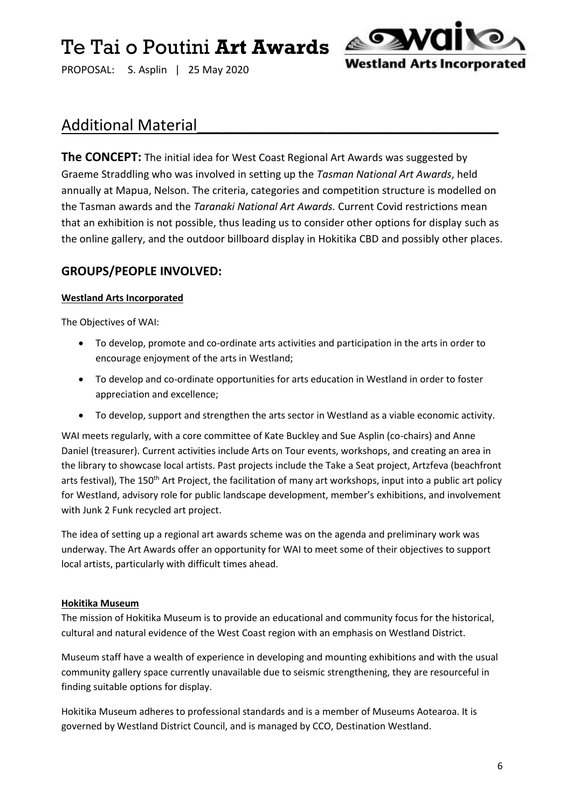PROPOSAL: S. Asplin | 25 May 2020



### Additional Material\_\_\_\_\_\_\_\_\_\_\_\_\_\_\_\_\_\_\_\_\_\_\_\_\_\_\_\_\_\_\_\_\_\_\_

**The CONCEPT:** The initial idea for West Coast Regional Art Awards was suggested by Graeme Straddling who was involved in setting up the *Tasman National Art Awards*, held annually at Mapua, Nelson. The criteria, categories and competition structure is modelled on the Tasman awards and the *Taranaki National Art Awards.* Current Covid restrictions mean that an exhibition is not possible, thus leading us to consider other options for display such as the online gallery, and the outdoor billboard display in Hokitika CBD and possibly other places.

### **GROUPS/PEOPLE INVOLVED:**

#### **Westland Arts Incorporated**

The Objectives of WAI:

- To develop, promote and co-ordinate arts activities and participation in the arts in order to encourage enjoyment of the arts in Westland;
- To develop and co-ordinate opportunities for arts education in Westland in order to foster appreciation and excellence;
- To develop, support and strengthen the arts sector in Westland as a viable economic activity.

WAI meets regularly, with a core committee of Kate Buckley and Sue Asplin (co-chairs) and Anne Daniel (treasurer). Current activities include Arts on Tour events, workshops, and creating an area in the library to showcase local artists. Past projects include the Take a Seat project, Artzfeva (beachfront arts festival), The 150<sup>th</sup> Art Project, the facilitation of many art workshops, input into a public art policy for Westland, advisory role for public landscape development, member's exhibitions, and involvement with Junk 2 Funk recycled art project.

The idea of setting up a regional art awards scheme was on the agenda and preliminary work was underway. The Art Awards offer an opportunity for WAI to meet some of their objectives to support local artists, particularly with difficult times ahead.

#### **Hokitika Museum**

The mission of Hokitika Museum is to provide an educational and community focus for the historical, cultural and natural evidence of the West Coast region with an emphasis on Westland District.

Museum staff have a wealth of experience in developing and mounting exhibitions and with the usual community gallery space currently unavailable due to seismic strengthening, they are resourceful in finding suitable options for display.

Hokitika Museum adheres to professional standards and is a member of Museums Aotearoa. It is governed by Westland District Council, and is managed by CCO, Destination Westland.